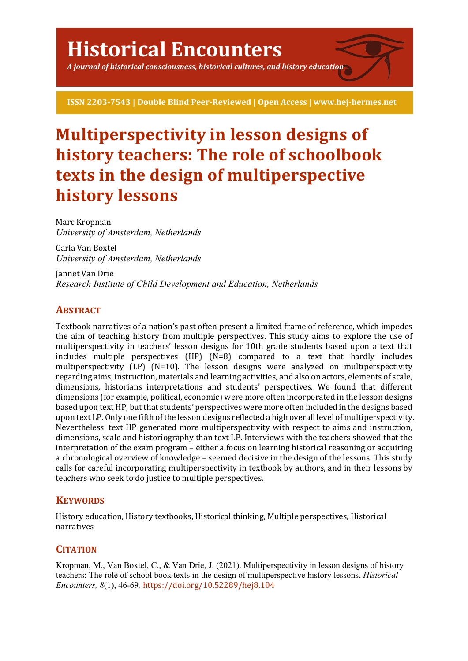*A journal of historical consciousness, historical cultures, and history education*

**ISSN 2203-7543 | Double Blind Peer-Reviewed | Open Access | www.hej-hermes.net**

# **Multiperspectivity in lesson designs of history teachers: The role of schoolbook texts in the design of multiperspective history lessons**

Marc Kropman *University of Amsterdam, Netherlands*

Carla Van Boxtel *University of Amsterdam, Netherlands*

Jannet Van Drie *Research Institute of Child Development and Education, Netherlands*

# **ABSTRACT**

Textbook narratives of a nation's past often present a limited frame of reference, which impedes the aim of teaching history from multiple perspectives. This study aims to explore the use of multiperspectivity in teachers' lesson designs for 10th grade students based upon a text that includes multiple perspectives  $(HP)$   $(N=8)$  compared to a text that hardly includes multiperspectivity  $(LP)$  (N=10). The lesson designs were analyzed on multiperspectivity regarding aims, instruction, materials and learning activities, and also on actors, elements of scale, dimensions, historians interpretations and students' perspectives. We found that different dimensions (for example, political, economic) were more often incorporated in the lesson designs based upon text HP, but that students' perspectives were more often included in the designs based upon text LP. Only one fifth of the lesson designs reflected a high overall level of multiperspectivity. Nevertheless, text HP generated more multiperspectivity with respect to aims and instruction, dimensions, scale and historiography than text LP. Interviews with the teachers showed that the interpretation of the exam program – either a focus on learning historical reasoning or acquiring a chronological overview of knowledge – seemed decisive in the design of the lessons. This study calls for careful incorporating multiperspectivity in textbook by authors, and in their lessons by teachers who seek to do justice to multiple perspectives.

# **KEYWORDS**

History education, History textbooks, Historical thinking, Multiple perspectives, Historical narratives

# **CITATION**

Kropman, M., Van Boxtel, C., & Van Drie, J. (2021). Multiperspectivity in lesson designs of history teachers: The role of school book texts in the design of multiperspective history lessons. *Historical Encounters, 8*(1), 46-69*.* https://doi.org/10.52289/hej8.104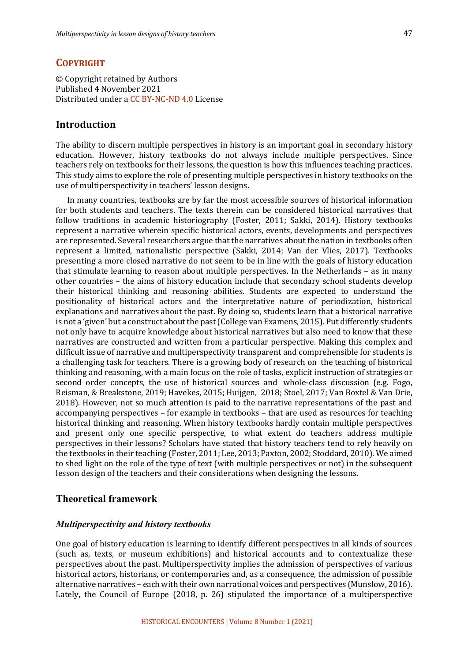## **COPYRIGHT**

© Copyright retained by Authors Published 4 November 2021 Distributed under a CC BY-NC-ND 4.0 License

## **Introduction**

The ability to discern multiple perspectives in history is an important goal in secondary history education. However, history textbooks do not always include multiple perspectives. Since teachers rely on textbooks for their lessons, the question is how this influences teaching practices. This study aims to explore the role of presenting multiple perspectives in history textbooks on the use of multiperspectivity in teachers' lesson designs.

In many countries, textbooks are by far the most accessible sources of historical information for both students and teachers. The texts therein can be considered historical narratives that follow traditions in academic historiography (Foster, 2011; Sakki, 2014). History textbooks represent a narrative wherein specific historical actors, events, developments and perspectives are represented. Several researchers argue that the narratives about the nation in textbooks often represent a limited, nationalistic perspective (Sakki, 2014; Van der Vlies, 2017). Textbooks presenting a more closed narrative do not seem to be in line with the goals of history education that stimulate learning to reason about multiple perspectives. In the Netherlands  $-$  as in many other countries – the aims of history education include that secondary school students develop their historical thinking and reasoning abilities. Students are expected to understand the positionality of historical actors and the interpretative nature of periodization, historical explanations and narratives about the past. By doing so, students learn that a historical narrative is not a 'given' but a construct about the past (College van Examens, 2015). Put differently students not only have to acquire knowledge about historical narratives but also need to know that these narratives are constructed and written from a particular perspective. Making this complex and difficult issue of narrative and multiperspectivity transparent and comprehensible for students is a challenging task for teachers. There is a growing body of research on the teaching of historical thinking and reasoning, with a main focus on the role of tasks, explicit instruction of strategies or second order concepts, the use of historical sources and whole-class discussion (e.g. Fogo, Reisman, & Breakstone, 2019; Havekes, 2015; Huijgen, 2018; Stoel, 2017; Van Boxtel & Van Drie, 2018). However, not so much attention is paid to the narrative representations of the past and accompanying perspectives - for example in textbooks - that are used as resources for teaching historical thinking and reasoning. When history textbooks hardly contain multiple perspectives and present only one specific perspective, to what extent do teachers address multiple perspectives in their lessons? Scholars have stated that history teachers tend to rely heavily on the textbooks in their teaching (Foster, 2011; Lee, 2013; Paxton, 2002; Stoddard, 2010). We aimed to shed light on the role of the type of text (with multiple perspectives or not) in the subsequent lesson design of the teachers and their considerations when designing the lessons.

## **Theoretical framework**

#### *Multiperspectivity and history textbooks*

One goal of history education is learning to identify different perspectives in all kinds of sources (such as, texts, or museum exhibitions) and historical accounts and to contextualize these perspectives about the past. Multiperspectivity implies the admission of perspectives of various historical actors, historians, or contemporaries and, as a consequence, the admission of possible alternative narratives - each with their own narrational voices and perspectives (Munslow, 2016). Lately, the Council of Europe  $(2018, p. 26)$  stipulated the importance of a multiperspective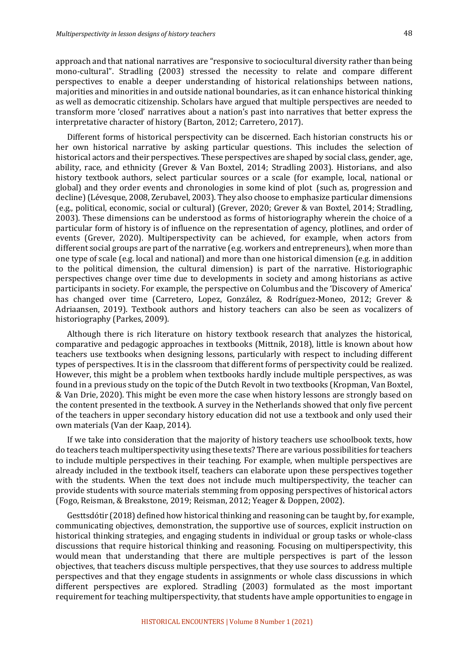approach and that national narratives are "responsive to sociocultural diversity rather than being mono-cultural". Stradling (2003) stressed the necessity to relate and compare different perspectives to enable a deeper understanding of historical relationships between nations, majorities and minorities in and outside national boundaries, as it can enhance historical thinking as well as democratic citizenship. Scholars have argued that multiple perspectives are needed to transform more 'closed' narratives about a nation's past into narratives that better express the interpretative character of history (Barton, 2012; Carretero, 2017).

Different forms of historical perspectivity can be discerned. Each historian constructs his or her own historical narrative by asking particular questions. This includes the selection of historical actors and their perspectives. These perspectives are shaped by social class, gender, age, ability, race, and ethnicity (Grever & Van Boxtel, 2014; Stradling 2003). Historians, and also history textbook authors, select particular sources or a scale (for example, local, national or global) and they order events and chronologies in some kind of plot (such as, progression and decline) (Lévesque, 2008, Zerubavel, 2003). They also choose to emphasize particular dimensions (e.g., political, economic, social or cultural) (Grever, 2020; Grever & van Boxtel, 2014; Stradling, 2003). These dimensions can be understood as forms of historiography wherein the choice of a particular form of history is of influence on the representation of agency, plotlines, and order of events (Grever, 2020). Multiperspectivity can be achieved, for example, when actors from different social groups are part of the narrative  $(e.g.$  workers and entrepreneurs), when more than one type of scale (e.g. local and national) and more than one historical dimension (e.g. in addition to the political dimension, the cultural dimension) is part of the narrative. Historiographic perspectives change over time due to developments in society and among historians as active participants in society. For example, the perspective on Columbus and the 'Discovery of America' has changed over time (Carretero, Lopez, González, & Rodríguez-Moneo, 2012; Grever & Adriaansen, 2019). Textbook authors and history teachers can also be seen as vocalizers of historiography (Parkes, 2009).

Although there is rich literature on history textbook research that analyzes the historical, comparative and pedagogic approaches in textbooks (Mittnik, 2018), little is known about how teachers use textbooks when designing lessons, particularly with respect to including different types of perspectives. It is in the classroom that different forms of perspectivity could be realized. However, this might be a problem when textbooks hardly include multiple perspectives, as was found in a previous study on the topic of the Dutch Revolt in two textbooks (Kropman, Van Boxtel, & Van Drie, 2020). This might be even more the case when history lessons are strongly based on the content presented in the textbook. A survey in the Netherlands showed that only five percent of the teachers in upper secondary history education did not use a textbook and only used their own materials (Van der Kaap, 2014).

If we take into consideration that the majority of history teachers use schoolbook texts, how do teachers teach multiperspectivity using these texts? There are various possibilities for teachers to include multiple perspectives in their teaching. For example, when multiple perspectives are already included in the textbook itself, teachers can elaborate upon these perspectives together with the students. When the text does not include much multiperspectivity, the teacher can provide students with source materials stemming from opposing perspectives of historical actors (Fogo, Reisman, & Breakstone, 2019; Reisman, 2012; Yeager & Doppen, 2002).

Gesttsdótir (2018) defined how historical thinking and reasoning can be taught by, for example, communicating objectives, demonstration, the supportive use of sources, explicit instruction on historical thinking strategies, and engaging students in individual or group tasks or whole-class discussions that require historical thinking and reasoning. Focusing on multiperspectivity, this would mean that understanding that there are multiple perspectives is part of the lesson objectives, that teachers discuss multiple perspectives, that they use sources to address multiple perspectives and that they engage students in assignments or whole class discussions in which different perspectives are explored. Stradling  $(2003)$  formulated as the most important requirement for teaching multiperspectivity, that students have ample opportunities to engage in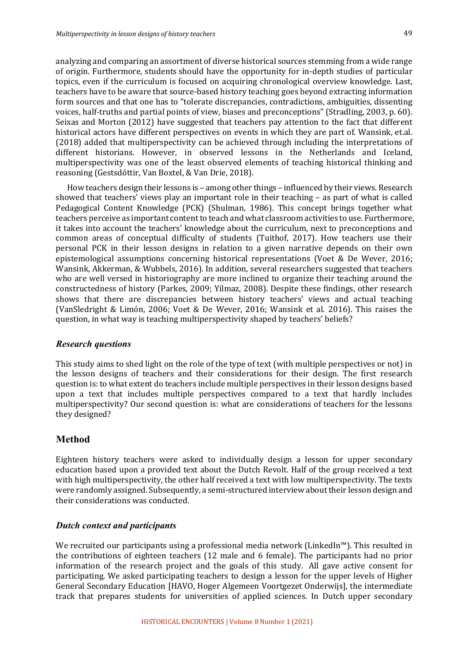analyzing and comparing an assortment of diverse historical sources stemming from a wide range of origin. Furthermore, students should have the opportunity for in-depth studies of particular topics, even if the curriculum is focused on acquiring chronological overview knowledge. Last, teachers have to be aware that source-based history teaching goes beyond extracting information form sources and that one has to "tolerate discrepancies, contradictions, ambiguities, dissenting voices, half-truths and partial points of view, biases and preconceptions" (Stradling, 2003, p. 60). Seixas and Morton (2012) have suggested that teachers pay attention to the fact that different historical actors have different perspectives on events in which they are part of. Wansink, et.al. (2018) added that multiperspectivity can be achieved through including the interpretations of different historians. However, in observed lessons in the Netherlands and Iceland, multiperspectivity was one of the least observed elements of teaching historical thinking and reasoning (Gestsdóttir, Van Boxtel, & Van Drie, 2018).

How teachers design their lessons is – among other things – influenced by their views. Research showed that teachers' views play an important role in their teaching  $-$  as part of what is called Pedagogical Content Knowledge (PCK) (Shulman, 1986). This concept brings together what teachers perceive as important content to teach and what classroom activities to use. Furthermore, it takes into account the teachers' knowledge about the curriculum, next to preconceptions and common areas of conceptual difficulty of students (Tuithof, 2017). How teachers use their personal PCK in their lesson designs in relation to a given narrative depends on their own epistemological assumptions concerning historical representations (Voet & De Wever, 2016; Wansink, Akkerman, & Wubbels, 2016). In addition, several researchers suggested that teachers who are well versed in historiography are more inclined to organize their teaching around the constructedness of history (Parkes, 2009; Yilmaz, 2008). Despite these findings, other research shows that there are discrepancies between history teachers' views and actual teaching (VanSledright & Limón, 2006; Voet & De Wever, 2016; Wansink et al. 2016). This raises the question, in what way is teaching multiperspectivity shaped by teachers' beliefs?

## *Research questions*

This study aims to shed light on the role of the type of text (with multiple perspectives or not) in the lesson designs of teachers and their considerations for their design. The first research question is: to what extent do teachers include multiple perspectives in their lesson designs based upon a text that includes multiple perspectives compared to a text that hardly includes multiperspectivity? Our second question is: what are considerations of teachers for the lessons they designed?

## **Method**

Eighteen history teachers were asked to individually design a lesson for upper secondary education based upon a provided text about the Dutch Revolt. Half of the group received a text with high multiperspectivity, the other half received a text with low multiperspectivity. The texts were randomly assigned. Subsequently, a semi-structured interview about their lesson design and their considerations was conducted.

## *Dutch context and participants*

We recruited our participants using a professional media network (LinkedIn<sup>™</sup>). This resulted in the contributions of eighteen teachers (12 male and 6 female). The participants had no prior information of the research project and the goals of this study. All gave active consent for participating. We asked participating teachers to design a lesson for the upper levels of Higher General Secondary Education [HAVO, Hoger Algemeen Voortgezet Onderwijs], the intermediate track that prepares students for universities of applied sciences. In Dutch upper secondary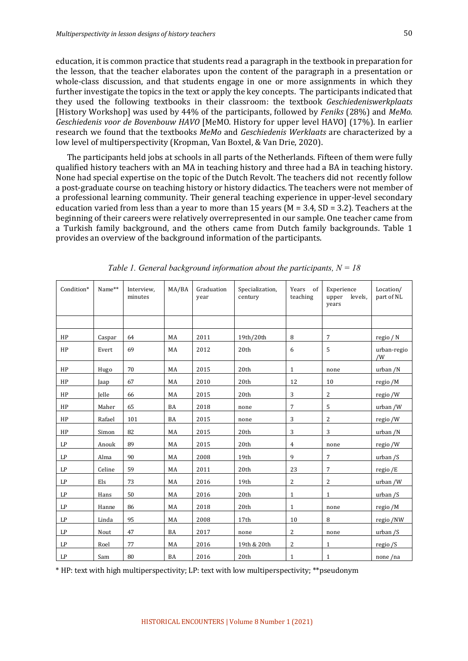education, it is common practice that students read a paragraph in the textbook in preparation for the lesson, that the teacher elaborates upon the content of the paragraph in a presentation or whole-class discussion, and that students engage in one or more assignments in which they further investigate the topics in the text or apply the key concepts. The participants indicated that they used the following textbooks in their classroom: the textbook *Geschiedeniswerkplaats* [History Workshop] was used by 44% of the participants, followed by *Feniks* (28%) and *MeMo. Geschiedenis voor de Bovenbouw HAVO* [MeMO. History for upper level HAVO] (17%). In earlier research we found that the textbooks *MeMo* and *Geschiedenis Werklaats* are characterized by a low level of multiperspectivity (Kropman, Van Boxtel, & Van Drie, 2020).

The participants held jobs at schools in all parts of the Netherlands. Fifteen of them were fully qualified history teachers with an MA in teaching history and three had a BA in teaching history. None had special expertise on the topic of the Dutch Revolt. The teachers did not recently follow a post-graduate course on teaching history or history didactics. The teachers were not member of a professional learning community. Their general teaching experience in upper-level secondary education varied from less than a year to more than 15 years ( $M = 3.4$ , SD = 3.2). Teachers at the beginning of their careers were relatively overrepresented in our sample. One teacher came from a Turkish family background, and the others came from Dutch family backgrounds. Table 1 provides an overview of the background information of the participants.

| Condition*    | Name** | Interview,<br>minutes | MA/BA | Graduation<br>year | Specialization,<br>century | Years of<br>teaching | Experience<br>levels,<br>upper<br>years | Location/<br>part of NL |
|---------------|--------|-----------------------|-------|--------------------|----------------------------|----------------------|-----------------------------------------|-------------------------|
|               |        |                       |       |                    |                            |                      |                                         |                         |
| HP            | Caspar | 64                    | MA    | 2011               | 19th/20th                  | 8                    | $\overline{7}$                          | regio / N               |
| HP            | Evert  | 69                    | MA    | 2012               | 20th                       | 6                    | 5                                       | urban-regio<br>/W       |
| HP            | Hugo   | 70                    | MA    | 2015               | 20th                       | $\mathbf{1}$         | none                                    | urban /N                |
| HP            | Jaap   | 67                    | MA    | 2010               | 20th                       | 12                   | 10                                      | regio /M                |
| HP            | Jelle  | 66                    | MA    | 2015               | 20th                       | 3                    | $\overline{2}$                          | regio /W                |
| HP            | Maher  | 65                    | BA    | 2018               | none                       | $\overline{7}$       | 5                                       | urban /W                |
| HP            | Rafael | 101                   | BA    | 2015               | none                       | 3                    | 2                                       | regio /W                |
| HP            | Simon  | 82                    | MA    | 2015               | 20th                       | 3                    | 3                                       | urban /N                |
| LP            | Anouk  | 89                    | MA    | 2015               | 20th                       | 4                    | none                                    | regio /W                |
| $\mathrm{LP}$ | Alma   | 90                    | MA    | 2008               | 19th                       | 9                    | 7                                       | urban / S               |
| LP            | Celine | 59                    | MA    | 2011               | 20th                       | 23                   | $\overline{7}$                          | regio /E                |
| LP            | Els    | 73                    | MA    | 2016               | 19th                       | $\overline{2}$       | $\sqrt{2}$                              | urban /W                |
| LP            | Hans   | 50                    | MA    | 2016               | 20th                       | $\mathbf{1}$         | $\mathbf{1}$                            | urban / S               |
| LP            | Hanne  | 86                    | MA    | 2018               | 20th                       | $\mathbf{1}$         | none                                    | regio /M                |
| LP            | Linda  | 95                    | MA    | 2008               | 17th                       | 10                   | 8                                       | regio /NW               |
| LP            | Nout   | 47                    | BA    | 2017               | none                       | $\overline{2}$       | none                                    | urban / S               |
| LP            | Roel   | 77                    | MA    | 2016               | 19th & 20th                | 2                    | $\mathbf{1}$                            | regio $/S$              |
| LP            | Sam    | 80                    | BA    | 2016               | 20th                       | $\mathbf{1}$         | $\mathbf{1}$                            | none/na                 |

*Table 1. General background information about the participants, N = 18*

\* HP: text with high multiperspectivity; LP: text with low multiperspectivity; \*\*pseudonym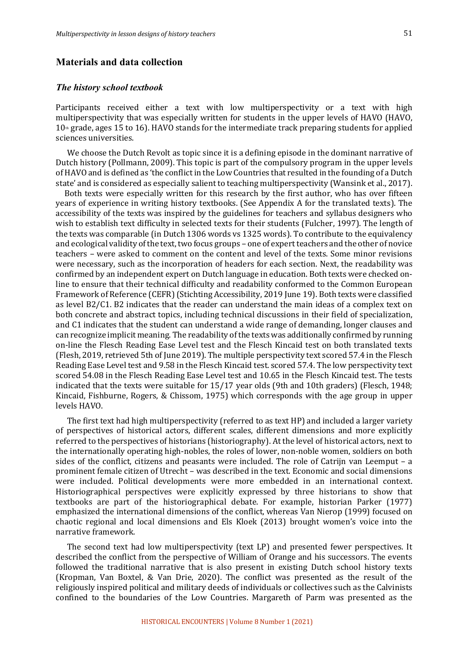## **Materials and data collection**

#### *The history school textbook*

Participants received either a text with low multiperspectivity or a text with high multiperspectivity that was especially written for students in the upper levels of HAVO (HAVO,  $10<sub>th</sub>$  grade, ages 15 to 16). HAVO stands for the intermediate track preparing students for applied sciences universities.

We choose the Dutch Revolt as topic since it is a defining episode in the dominant narrative of Dutch history (Pollmann, 2009). This topic is part of the compulsory program in the upper levels of HAVO and is defined as 'the conflict in the Low Countries that resulted in the founding of a Dutch state' and is considered as especially salient to teaching multiperspectivity (Wansink et al., 2017).

Both texts were especially written for this research by the first author, who has over fifteen years of experience in writing history textbooks. (See Appendix A for the translated texts). The accessibility of the texts was inspired by the guidelines for teachers and syllabus designers who wish to establish text difficulty in selected texts for their students (Fulcher, 1997). The length of the texts was comparable (in Dutch 1306 words vs 1325 words). To contribute to the equivalency and ecological validity of the text, two focus groups - one of expert teachers and the other of novice teachers – were asked to comment on the content and level of the texts. Some minor revisions were necessary, such as the incorporation of headers for each section. Next, the readability was confirmed by an independent expert on Dutch language in education. Both texts were checked online to ensure that their technical difficulty and readability conformed to the Common European Framework of Reference (CEFR) (Stichting Accessibility, 2019 June 19). Both texts were classified as level B2/C1. B2 indicates that the reader can understand the main ideas of a complex text on both concrete and abstract topics, including technical discussions in their field of specialization, and C1 indicates that the student can understand a wide range of demanding, longer clauses and can recognize implicit meaning. The readability of the texts was additionally confirmed by running on-line the Flesch Reading Ease Level test and the Flesch Kincaid test on both translated texts (Flesh, 2019, retrieved 5th of June 2019). The multiple perspectivity text scored 57.4 in the Flesch Reading Ease Level test and 9.58 in the Flesch Kincaid test. scored 57.4. The low perspectivity text scored 54.08 in the Flesch Reading Ease Level test and 10.65 in the Flesch Kincaid test. The tests indicated that the texts were suitable for  $15/17$  year olds (9th and 10th graders) (Flesch, 1948; Kincaid, Fishburne, Rogers, & Chissom, 1975) which corresponds with the age group in upper levels HAVO.

The first text had high multiperspectivity (referred to as text HP) and included a larger variety of perspectives of historical actors, different scales, different dimensions and more explicitly referred to the perspectives of historians (historiography). At the level of historical actors, next to the internationally operating high-nobles, the roles of lower, non-noble women, soldiers on both sides of the conflict, citizens and peasants were included. The role of Catrijn van Leemput  $-$  a prominent female citizen of Utrecht – was described in the text. Economic and social dimensions were included. Political developments were more embedded in an international context. Historiographical perspectives were explicitly expressed by three historians to show that textbooks are part of the historiographical debate. For example, historian Parker (1977) emphasized the international dimensions of the conflict, whereas Van Nierop (1999) focused on chaotic regional and local dimensions and Els Kloek (2013) brought women's voice into the narrative framework.

The second text had low multiperspectivity (text LP) and presented fewer perspectives. It described the conflict from the perspective of William of Orange and his successors. The events followed the traditional narrative that is also present in existing Dutch school history texts (Kropman, Van Boxtel, & Van Drie, 2020). The conflict was presented as the result of the religiously inspired political and military deeds of individuals or collectives such as the Calvinists confined to the boundaries of the Low Countries. Margareth of Parm was presented as the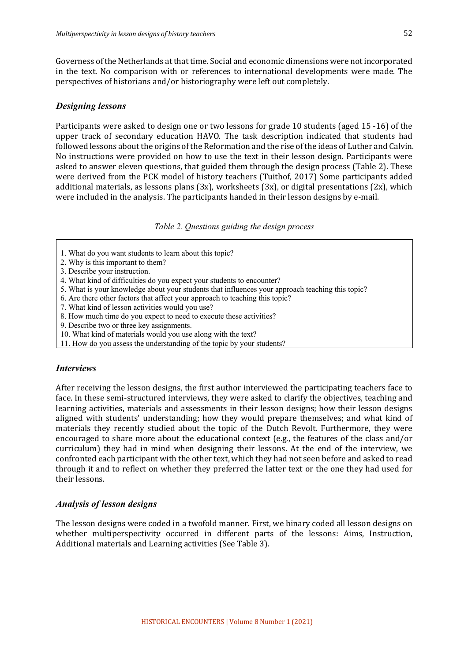Governess of the Netherlands at that time. Social and economic dimensions were not incorporated in the text. No comparison with or references to international developments were made. The perspectives of historians and/or historiography were left out completely.

### *Designing lessons*

Participants were asked to design one or two lessons for grade 10 students (aged 15 -16) of the upper track of secondary education HAVO. The task description indicated that students had followed lessons about the origins of the Reformation and the rise of the ideas of Luther and Calvin. No instructions were provided on how to use the text in their lesson design. Participants were asked to answer eleven questions, that guided them through the design process (Table 2). These were derived from the PCK model of history teachers (Tuithof, 2017) Some participants added additional materials, as lessons plans  $(3x)$ , worksheets  $(3x)$ , or digital presentations  $(2x)$ , which were included in the analysis. The participants handed in their lesson designs by e-mail.

*Table 2. Questions guiding the design process*

- 1. What do you want students to learn about this topic?
- 2. Why is this important to them?
- 3. Describe your instruction.
- 4. What kind of difficulties do you expect your students to encounter?
- 5. What is your knowledge about your students that influences your approach teaching this topic?
- 6. Are there other factors that affect your approach to teaching this topic?
- 7. What kind of lesson activities would you use?
- 8. How much time do you expect to need to execute these activities?
- 9. Describe two or three key assignments.
- 10. What kind of materials would you use along with the text?
- 11. How do you assess the understanding of the topic by your students?

#### *Interviews*

After receiving the lesson designs, the first author interviewed the participating teachers face to face. In these semi-structured interviews, they were asked to clarify the objectives, teaching and learning activities, materials and assessments in their lesson designs; how their lesson designs aligned with students' understanding; how they would prepare themselves; and what kind of materials they recently studied about the topic of the Dutch Revolt. Furthermore, they were encouraged to share more about the educational context (e.g., the features of the class and/or curriculum) they had in mind when designing their lessons. At the end of the interview, we confronted each participant with the other text, which they had not seen before and asked to read through it and to reflect on whether they preferred the latter text or the one they had used for their lessons.

## *Analysis of lesson designs*

The lesson designs were coded in a twofold manner. First, we binary coded all lesson designs on whether multiperspectivity occurred in different parts of the lessons: Aims, Instruction, Additional materials and Learning activities (See Table 3).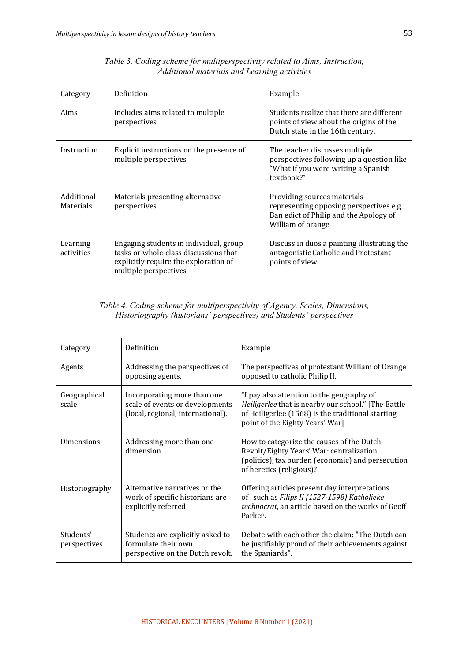| Category                       | Definition                                                                                                                                        | Example                                                                                                                               |
|--------------------------------|---------------------------------------------------------------------------------------------------------------------------------------------------|---------------------------------------------------------------------------------------------------------------------------------------|
| Aims                           | Includes aims related to multiple<br>perspectives                                                                                                 | Students realize that there are different<br>points of view about the origins of the<br>Dutch state in the 16th century.              |
| Instruction                    | Explicit instructions on the presence of<br>multiple perspectives                                                                                 | The teacher discusses multiple<br>perspectives following up a question like<br>"What if you were writing a Spanish<br>textbook?"      |
| Additional<br><b>Materials</b> | Materials presenting alternative<br>perspectives                                                                                                  | Providing sources materials<br>representing opposing perspectives e.g.<br>Ban edict of Philip and the Apology of<br>William of orange |
| Learning<br>activities         | Engaging students in individual, group<br>tasks or whole-class discussions that<br>explicitly require the exploration of<br>multiple perspectives | Discuss in duos a painting illustrating the<br>antagonistic Catholic and Protestant<br>points of view.                                |

*Table 3. Coding scheme for multiperspectivity related to Aims, Instruction, Additional materials and Learning activities*

## *Table 4. Coding scheme for multiperspectivity of Agency, Scales, Dimensions, Historiography (historians' perspectives) and Students' perspectives*

| Category                  | Definition                                                                                          | Example                                                                                                                                                                                  |  |  |
|---------------------------|-----------------------------------------------------------------------------------------------------|------------------------------------------------------------------------------------------------------------------------------------------------------------------------------------------|--|--|
| Agents                    | Addressing the perspectives of<br>opposing agents.                                                  | The perspectives of protestant William of Orange<br>opposed to catholic Philip II.                                                                                                       |  |  |
| Geographical<br>scale     | Incorporating more than one<br>scale of events or developments<br>(local, regional, international). | "I pay also attention to the geography of<br>Heiligerlee that is nearby our school." [The Battle<br>of Heiligerlee (1568) is the traditional starting<br>point of the Eighty Years' War] |  |  |
| Dimensions                | Addressing more than one<br>dimension.                                                              | How to categorize the causes of the Dutch<br>Revolt/Eighty Years' War: centralization<br>(politics), tax burden (economic) and persecution<br>of heretics (religious)?                   |  |  |
| Historiography            | Alternative narratives or the<br>work of specific historians are<br>explicitly referred             | Offering articles present day interpretations<br>of such as Filips II (1527-1598) Katholieke<br>technocrat, an article based on the works of Geoff<br>Parker.                            |  |  |
| Students'<br>perspectives | Students are explicitly asked to<br>formulate their own<br>perspective on the Dutch revolt.         | Debate with each other the claim: "The Dutch can<br>be justifiably proud of their achievements against<br>the Spaniards".                                                                |  |  |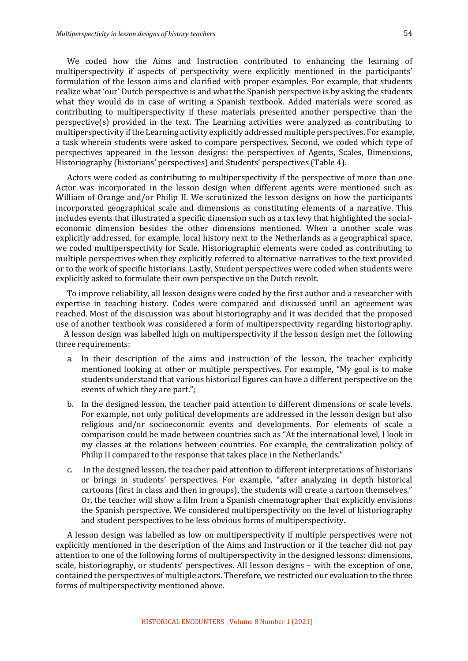We coded how the Aims and Instruction contributed to enhancing the learning of multiperspectivity if aspects of perspectivity were explicitly mentioned in the participants' formulation of the lesson aims and clarified with proper examples. For example, that students realize what 'our' Dutch perspective is and what the Spanish perspective is by asking the students what they would do in case of writing a Spanish textbook. Added materials were scored as contributing to multiperspectivity if these materials presented another perspective than the  $perspective(s)$  provided in the text. The Learning activities were analyzed as contributing to multiperspectivity if the Learning activity explicitly addressed multiple perspectives. For example, a task wherein students were asked to compare perspectives. Second, we coded which type of perspectives appeared in the lesson designs: the perspectives of Agents, Scales, Dimensions, Historiography (historians' perspectives) and Students' perspectives (Table 4).

Actors were coded as contributing to multiperspectivity if the perspective of more than one Actor was incorporated in the lesson design when different agents were mentioned such as William of Orange and/or Philip II. We scrutinized the lesson designs on how the participants incorporated geographical scale and dimensions as constituting elements of a narrative. This includes events that illustrated a specific dimension such as a tax levy that highlighted the socialeconomic dimension besides the other dimensions mentioned. When a another scale was explicitly addressed, for example, local history next to the Netherlands as a geographical space, we coded multiperspectivity for Scale. Historiographic elements were coded as contributing to multiple perspectives when they explicitly referred to alternative narratives to the text provided or to the work of specific historians. Lastly, Student perspectives were coded when students were explicitly asked to formulate their own perspective on the Dutch revolt.

To improve reliability, all lesson designs were coded by the first author and a researcher with expertise in teaching history. Codes were compared and discussed until an agreement was reached. Most of the discussion was about historiography and it was decided that the proposed use of another textbook was considered a form of multiperspectivity regarding historiography.

A lesson design was labelled high on multiperspectivity if the lesson design met the following three requirements:

- a. In their description of the aims and instruction of the lesson, the teacher explicitly mentioned looking at other or multiple perspectives. For example, "My goal is to make students understand that various historical figures can have a different perspective on the events of which they are part.";
- b. In the designed lesson, the teacher paid attention to different dimensions or scale levels. For example, not only political developments are addressed in the lesson design but also religious and/or socioeconomic events and developments. For elements of scale a comparison could be made between countries such as "At the international level, I look in my classes at the relations between countries. For example, the centralization policy of Philip II compared to the response that takes place in the Netherlands."
- c. In the designed lesson, the teacher paid attention to different interpretations of historians or brings in students' perspectives. For example, "after analyzing in depth historical cartoons (first in class and then in groups), the students will create a cartoon themselves." Or, the teacher will show a film from a Spanish cinematographer that explicitly envisions the Spanish perspective. We considered multiperspectivity on the level of historiography and student perspectives to be less obvious forms of multiperspectivity.

A lesson design was labelled as low on multiperspectivity if multiple perspectives were not explicitly mentioned in the description of the Aims and Instruction or if the teacher did not pay attention to one of the following forms of multiperspectivity in the designed lessons: dimensions, scale, historiography, or students' perspectives. All lesson designs – with the exception of one, contained the perspectives of multiple actors. Therefore, we restricted our evaluation to the three forms of multiperspectivity mentioned above.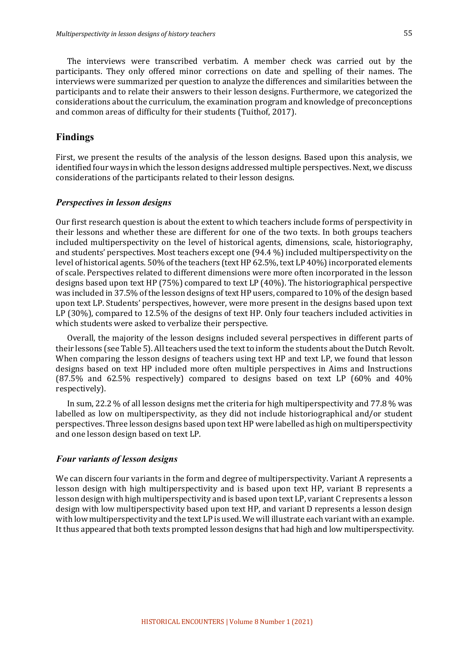The interviews were transcribed verbatim. A member check was carried out by the participants. They only offered minor corrections on date and spelling of their names. The interviews were summarized per question to analyze the differences and similarities between the participants and to relate their answers to their lesson designs. Furthermore, we categorized the considerations about the curriculum, the examination program and knowledge of preconceptions and common areas of difficulty for their students (Tuithof, 2017).

## **Findings**

First, we present the results of the analysis of the lesson designs. Based upon this analysis, we identified four ways in which the lesson designs addressed multiple perspectives. Next, we discuss considerations of the participants related to their lesson designs.

### *Perspectives in lesson designs*

Our first research question is about the extent to which teachers include forms of perspectivity in their lessons and whether these are different for one of the two texts. In both groups teachers included multiperspectivity on the level of historical agents, dimensions, scale, historiography, and students' perspectives. Most teachers except one (94.4 %) included multiperspectivity on the level of historical agents. 50% of the teachers (text HP 62.5%, text LP 40%) incorporated elements of scale. Perspectives related to different dimensions were more often incorporated in the lesson designs based upon text HP (75%) compared to text LP (40%). The historiographical perspective was included in 37.5% of the lesson designs of text HP users, compared to 10% of the design based upon text LP. Students' perspectives, however, were more present in the designs based upon text LP (30%), compared to 12.5% of the designs of text HP. Only four teachers included activities in which students were asked to verbalize their perspective.

Overall, the majority of the lesson designs included several perspectives in different parts of their lessons (see Table 5). All teachers used the text to inform the students about the Dutch Revolt. When comparing the lesson designs of teachers using text  $HP$  and text  $LP$ , we found that lesson designs based on text HP included more often multiple perspectives in Aims and Instructions  $(87.5\%$  and  $62.5\%$  respectively) compared to designs based on text LP  $(60\%$  and  $40\%$ respectively).

In sum, 22.2  $\%$  of all lesson designs met the criteria for high multiperspectivity and 77.8  $\%$  was labelled as low on multiperspectivity, as they did not include historiographical and/or student perspectives. Three lesson designs based upon text HP were labelled as high on multiperspectivity and one lesson design based on text LP.

## *Four variants of lesson designs*

We can discern four variants in the form and degree of multiperspectivity. Variant A represents a lesson design with high multiperspectivity and is based upon text HP, variant B represents a lesson design with high multiperspectivity and is based upon text LP, variant C represents a lesson design with low multiperspectivity based upon text HP, and variant D represents a lesson design with low multiperspectivity and the text LP is used. We will illustrate each variant with an example. It thus appeared that both texts prompted lesson designs that had high and low multiperspectivity.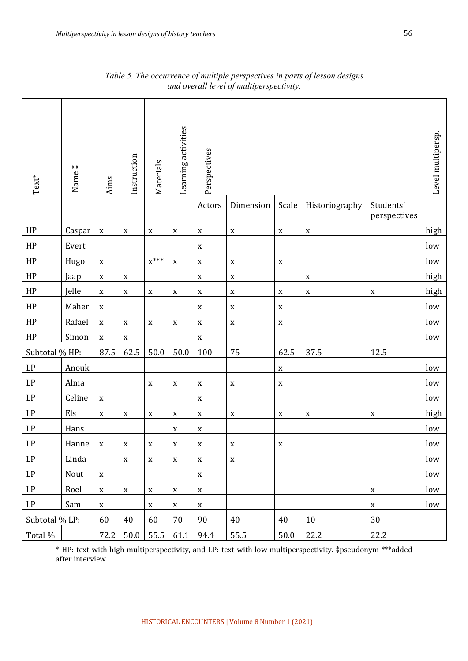| $\mathrm{Text}^*$ | $***$<br>Name <sup>3</sup> | Aims        | Instruction | Materials   | Learning activities       | Perspectives |             |             |                |                           | Level multipersp. |
|-------------------|----------------------------|-------------|-------------|-------------|---------------------------|--------------|-------------|-------------|----------------|---------------------------|-------------------|
|                   |                            |             |             |             |                           | Actors       | Dimension   | Scale       | Historiography | Students'<br>perspectives |                   |
| HP                | Caspar                     | $\mathbf X$ | $\mathbf X$ | $\mathbf X$ | $\mathbf X$               | X            | $\mathbf X$ | $\mathbf X$ | $\mathbf X$    |                           | high              |
| HP                | Evert                      |             |             |             |                           | X            |             |             |                |                           | low               |
| HP                | Hugo                       | $\mathbf X$ |             | $X^{***}$   | $\mathbf X$               | $\mathbf X$  | $\mathbf X$ | $\mathbf X$ |                |                           | low               |
| HP                | Jaap                       | $\mathbf X$ | $\mathbf X$ |             |                           | $\mathbf X$  | $\mathbf X$ |             | $\mathbf X$    |                           | high              |
| HP                | Jelle                      | $\mathbf X$ | $\mathbf X$ | $\mathbf X$ | $\mathbf X$               | $\mathbf X$  | $\mathbf X$ | $\mathbf X$ | $\mathbf X$    | $\mathbf X$               | high              |
| HP                | Maher                      | $\mathbf X$ |             |             |                           | X            | $\mathbf X$ | $\mathbf X$ |                |                           | low               |
| HP                | Rafael                     | $\mathbf X$ | $\mathbf X$ | $\mathbf X$ | $\mathbf X$               | $\mathbf X$  | $\mathbf X$ | $\mathbf X$ |                |                           | low               |
| HP                | Simon                      | $\mathbf X$ | $\mathbf X$ |             |                           | $\mathbf X$  |             |             |                |                           | low               |
| Subtotal % HP:    |                            | 87.5        | 62.5        | 50.0        | 50.0                      | 100          | 75          | 62.5        | 37.5           | 12.5                      |                   |
| LP                | Anouk                      |             |             |             |                           |              |             | $\mathbf X$ |                |                           | low               |
| LP                | Alma                       |             |             | $\mathbf X$ | $\mathbf X$               | $\mathbf X$  | $\mathbf X$ | $\mathbf X$ |                |                           | low               |
| LP                | Celine                     | $\mathbf X$ |             |             |                           | $\mathbf X$  |             |             |                |                           | low               |
| LP                | Els                        | $\mathbf X$ | $\mathbf X$ | $\mathbf X$ | $\mathbf X$               | $\mathbf X$  | $\mathbf X$ | $\mathbf X$ | $\mathbf X$    | $\mathbf X$               | high              |
| LP                | Hans                       |             |             |             | X                         | X            |             |             |                |                           | low               |
| LP                | Hanne                      | $\mathbf X$ | $\mathbf X$ | $\mathbf X$ | $\mathbf X$               | $\mathbf X$  | $\mathbf X$ | $\mathbf X$ |                |                           | low               |
| LP                | Linda                      |             | $\mathbf X$ | $\mathbf X$ | $\mathbf X$               | $\mathbf X$  | $\mathbf X$ |             |                |                           | low               |
| LP                | Nout                       | $\mathbf X$ |             |             |                           | $\mathbf X$  |             |             |                |                           | low               |
| LP                | Roel                       | $\mathbf X$ | $\mathbf X$ | $\mathbf X$ | $\mathbf X$               | $\mathbf X$  |             |             |                | $\mathbf X$               | low               |
| LP                | Sam                        | $\mathbf X$ |             | $\mathbf X$ | $\boldsymbol{\mathrm{X}}$ | $\mathbf X$  |             |             |                | $\mathbf X$               | low               |
| Subtotal % LP:    |                            | 60          | 40          | 60          | 70                        | 90           | 40          | 40          | 10             | 30                        |                   |
| Total %           |                            | 72.2        | 50.0        | 55.5        | 61.1                      | 94.4         | 55.5        | 50.0        | 22.2           | 22.2                      |                   |

*Table 5. The occurrence of multiple perspectives in parts of lesson designs and overall level of multiperspectivity.*

\* HP: text with high multiperspectivity, and LP: text with low multiperspectivity. ⁑pseudonym \*\*\*added after interview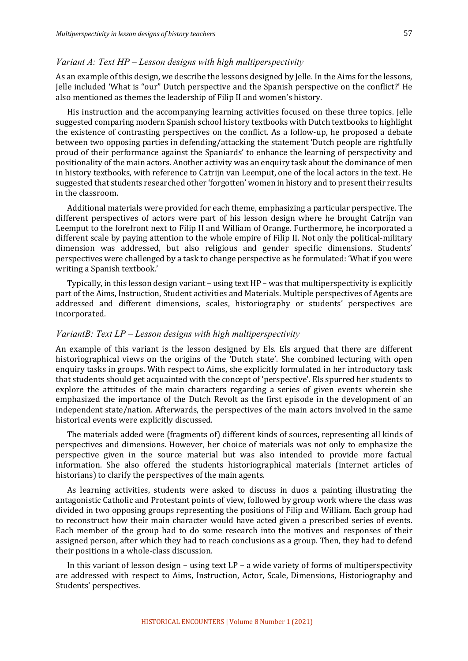#### *Variant A: Text HP – Lesson designs with high multiperspectivity*

As an example of this design, we describe the lessons designed by Jelle. In the Aims for the lessons, Jelle included 'What is "our" Dutch perspective and the Spanish perspective on the conflict?' He also mentioned as themes the leadership of Filip II and women's history.

His instruction and the accompanying learning activities focused on these three topics. Jelle suggested comparing modern Spanish school history textbooks with Dutch textbooks to highlight the existence of contrasting perspectives on the conflict. As a follow-up, he proposed a debate between two opposing parties in defending/attacking the statement 'Dutch people are rightfully proud of their performance against the Spaniards' to enhance the learning of perspectivity and positionality of the main actors. Another activity was an enquiry task about the dominance of men in history textbooks, with reference to Catrijn van Leemput, one of the local actors in the text. He suggested that students researched other 'forgotten' women in history and to present their results in the classroom.

Additional materials were provided for each theme, emphasizing a particular perspective. The different perspectives of actors were part of his lesson design where he brought Catrijn van Leemput to the forefront next to Filip II and William of Orange. Furthermore, he incorporated a different scale by paying attention to the whole empire of Filip II. Not only the political-military dimension was addressed, but also religious and gender specific dimensions. Students' perspectives were challenged by a task to change perspective as he formulated: 'What if you were writing a Spanish textbook.'

Typically, in this lesson design variant – using text  $HP$  – was that multiperspectivity is explicitly part of the Aims, Instruction, Student activities and Materials. Multiple perspectives of Agents are addressed and different dimensions, scales, historiography or students' perspectives are incorporated. 

#### *VariantB: Text LP – Lesson designs with high multiperspectivity*

An example of this variant is the lesson designed by Els. Els argued that there are different historiographical views on the origins of the 'Dutch state'. She combined lecturing with open enquiry tasks in groups. With respect to Aims, she explicitly formulated in her introductory task that students should get acquainted with the concept of 'perspective'. Els spurred her students to explore the attitudes of the main characters regarding a series of given events wherein she emphasized the importance of the Dutch Revolt as the first episode in the development of an independent state/nation. Afterwards, the perspectives of the main actors involved in the same historical events were explicitly discussed.

The materials added were (fragments of) different kinds of sources, representing all kinds of perspectives and dimensions. However, her choice of materials was not only to emphasize the perspective given in the source material but was also intended to provide more factual information. She also offered the students historiographical materials (internet articles of historians) to clarify the perspectives of the main agents.

As learning activities, students were asked to discuss in duos a painting illustrating the antagonistic Catholic and Protestant points of view, followed by group work where the class was divided in two opposing groups representing the positions of Filip and William. Each group had to reconstruct how their main character would have acted given a prescribed series of events. Each member of the group had to do some research into the motives and responses of their assigned person, after which they had to reach conclusions as a group. Then, they had to defend their positions in a whole-class discussion.

In this variant of lesson design – using text  $LP - a$  wide variety of forms of multiperspectivity are addressed with respect to Aims, Instruction, Actor, Scale, Dimensions, Historiography and Students' perspectives.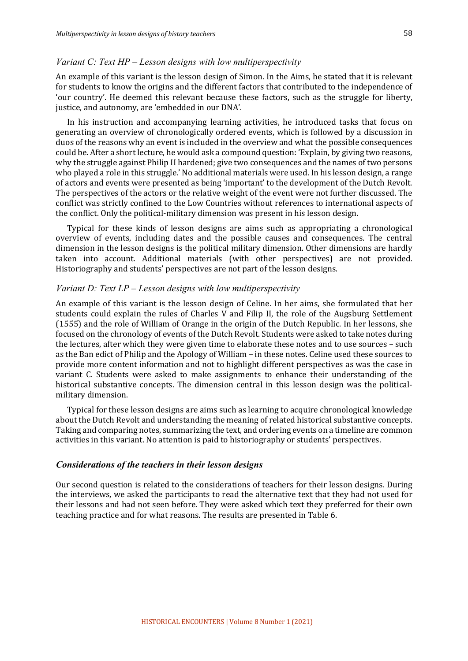#### *Variant C: Text HP – Lesson designs with low multiperspectivity*

An example of this variant is the lesson design of Simon. In the Aims, he stated that it is relevant for students to know the origins and the different factors that contributed to the independence of 'our country'. He deemed this relevant because these factors, such as the struggle for liberty, justice, and autonomy, are 'embedded in our DNA'.

In his instruction and accompanying learning activities, he introduced tasks that focus on generating an overview of chronologically ordered events, which is followed by a discussion in duos of the reasons why an event is included in the overview and what the possible consequences could be. After a short lecture, he would ask a compound question: 'Explain, by giving two reasons, why the struggle against Philip II hardened; give two consequences and the names of two persons who played a role in this struggle.' No additional materials were used. In his lesson design, a range of actors and events were presented as being 'important' to the development of the Dutch Revolt. The perspectives of the actors or the relative weight of the event were not further discussed. The conflict was strictly confined to the Low Countries without references to international aspects of the conflict. Only the political-military dimension was present in his lesson design.

Typical for these kinds of lesson designs are aims such as appropriating a chronological overview of events, including dates and the possible causes and consequences. The central dimension in the lesson designs is the political military dimension. Other dimensions are hardly taken into account. Additional materials (with other perspectives) are not provided. Historiography and students' perspectives are not part of the lesson designs.

## *Variant D: Text LP – Lesson designs with low multiperspectivity*

An example of this variant is the lesson design of Celine. In her aims, she formulated that her students could explain the rules of Charles V and Filip II, the role of the Augsburg Settlement (1555) and the role of William of Orange in the origin of the Dutch Republic. In her lessons, she focused on the chronology of events of the Dutch Revolt. Students were asked to take notes during the lectures, after which they were given time to elaborate these notes and to use sources – such as the Ban edict of Philip and the Apology of William – in these notes. Celine used these sources to provide more content information and not to highlight different perspectives as was the case in variant C. Students were asked to make assignments to enhance their understanding of the historical substantive concepts. The dimension central in this lesson design was the politicalmilitary dimension.

Typical for these lesson designs are aims such as learning to acquire chronological knowledge about the Dutch Revolt and understanding the meaning of related historical substantive concepts. Taking and comparing notes, summarizing the text, and ordering events on a timeline are common activities in this variant. No attention is paid to historiography or students' perspectives.

#### *Considerations of the teachers in their lesson designs*

Our second question is related to the considerations of teachers for their lesson designs. During the interviews, we asked the participants to read the alternative text that they had not used for their lessons and had not seen before. They were asked which text they preferred for their own teaching practice and for what reasons. The results are presented in Table 6.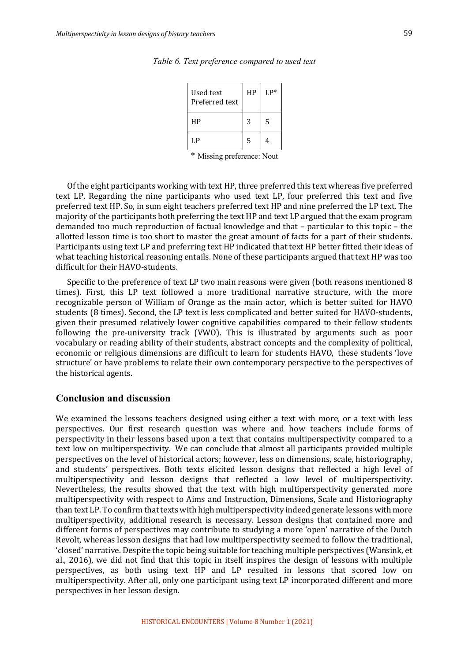| Used text<br>Preferred text | HP | $L P^*$ |
|-----------------------------|----|---------|
| НP                          | 3  | 5       |
| LP                          | 5  |         |

*Table 6. Text preference compared to used text*

\* Missing preference: Nout

Of the eight participants working with text HP, three preferred this text whereas five preferred text LP. Regarding the nine participants who used text LP, four preferred this text and five preferred text HP. So, in sum eight teachers preferred text HP and nine preferred the LP text. The majority of the participants both preferring the text HP and text LP argued that the exam program demanded too much reproduction of factual knowledge and that  $-$  particular to this topic  $-$  the allotted lesson time is too short to master the great amount of facts for a part of their students. Participants using text LP and preferring text HP indicated that text HP better fitted their ideas of what teaching historical reasoning entails. None of these participants argued that text HP was too difficult for their HAVO-students.

Specific to the preference of text LP two main reasons were given (both reasons mentioned 8 times). First, this LP text followed a more traditional narrative structure, with the more recognizable person of William of Orange as the main actor, which is better suited for HAVO students (8 times). Second, the LP text is less complicated and better suited for HAVO-students, given their presumed relatively lower cognitive capabilities compared to their fellow students following the pre-university track (VWO). This is illustrated by arguments such as poor vocabulary or reading ability of their students, abstract concepts and the complexity of political, economic or religious dimensions are difficult to learn for students HAVO, these students 'love structure' or have problems to relate their own contemporary perspective to the perspectives of the historical agents.

## **Conclusion and discussion**

We examined the lessons teachers designed using either a text with more, or a text with less perspectives. Our first research question was where and how teachers include forms of perspectivity in their lessons based upon a text that contains multiperspectivity compared to a text low on multiperspectivity. We can conclude that almost all participants provided multiple perspectives on the level of historical actors; however, less on dimensions, scale, historiography, and students' perspectives. Both texts elicited lesson designs that reflected a high level of multiperspectivity and lesson designs that reflected a low level of multiperspectivity. Nevertheless, the results showed that the text with high multiperspectivity generated more multiperspectivity with respect to Aims and Instruction, Dimensions, Scale and Historiography than text LP. To confirm that texts with high multiperspectivity indeed generate lessons with more multiperspectivity, additional research is necessary. Lesson designs that contained more and different forms of perspectives may contribute to studying a more 'open' narrative of the Dutch Revolt, whereas lesson designs that had low multiperspectivity seemed to follow the traditional, 'closed' narrative. Despite the topic being suitable for teaching multiple perspectives (Wansink, et al., 2016), we did not find that this topic in itself inspires the design of lessons with multiple perspectives, as both using text HP and LP resulted in lessons that scored low on multiperspectivity. After all, only one participant using text LP incorporated different and more perspectives in her lesson design.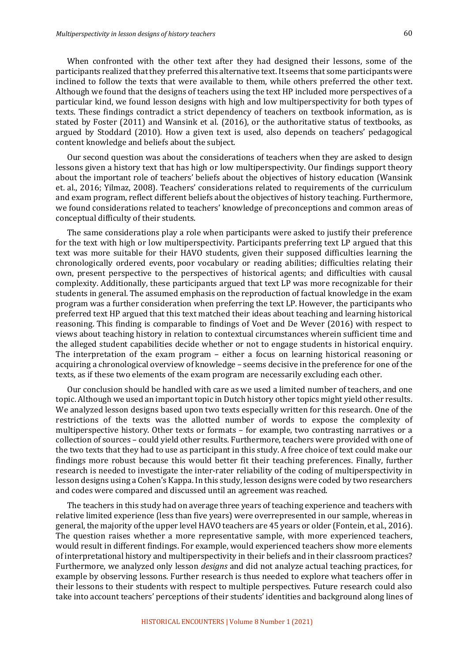When confronted with the other text after they had designed their lessons, some of the participants realized that they preferred this alternative text. It seems that some participants were inclined to follow the texts that were available to them, while others preferred the other text. Although we found that the designs of teachers using the text HP included more perspectives of a particular kind, we found lesson designs with high and low multiperspectivity for both types of texts. These findings contradict a strict dependency of teachers on textbook information, as is stated by Foster  $(2011)$  and Wansink et al.  $(2016)$ , or the authoritative status of textbooks, as argued by Stoddard (2010). How a given text is used, also depends on teachers' pedagogical content knowledge and beliefs about the subject.

Our second question was about the considerations of teachers when they are asked to design lessons given a history text that has high or low multiperspectivity. Our findings support theory about the important role of teachers' beliefs about the objectives of history education (Wansink et. al., 2016; Yilmaz, 2008). Teachers' considerations related to requirements of the curriculum and exam program, reflect different beliefs about the objectives of history teaching. Furthermore, we found considerations related to teachers' knowledge of preconceptions and common areas of conceptual difficulty of their students.

The same considerations play a role when participants were asked to justify their preference for the text with high or low multiperspectivity. Participants preferring text LP argued that this text was more suitable for their HAVO students, given their supposed difficulties learning the chronologically ordered events, poor vocabulary or reading abilities; difficulties relating their own, present perspective to the perspectives of historical agents; and difficulties with causal complexity. Additionally, these participants argued that text LP was more recognizable for their students in general. The assumed emphasis on the reproduction of factual knowledge in the exam program was a further consideration when preferring the text LP. However, the participants who preferred text HP argued that this text matched their ideas about teaching and learning historical reasoning. This finding is comparable to findings of Voet and De Wever (2016) with respect to views about teaching history in relation to contextual circumstances wherein sufficient time and the alleged student capabilities decide whether or not to engage students in historical enquiry. The interpretation of the exam program – either a focus on learning historical reasoning or acquiring a chronological overview of knowledge - seems decisive in the preference for one of the texts, as if these two elements of the exam program are necessarily excluding each other.

Our conclusion should be handled with care as we used a limited number of teachers, and one topic. Although we used an important topic in Dutch history other topics might yield other results. We analyzed lesson designs based upon two texts especially written for this research. One of the restrictions of the texts was the allotted number of words to expose the complexity of multiperspective history. Other texts or formats – for example, two contrasting narratives or a collection of sources – could yield other results. Furthermore, teachers were provided with one of the two texts that they had to use as participant in this study. A free choice of text could make our findings more robust because this would better fit their teaching preferences. Finally, further research is needed to investigate the inter-rater reliability of the coding of multiperspectivity in lesson designs using a Cohen's Kappa. In this study, lesson designs were coded by two researchers and codes were compared and discussed until an agreement was reached.

The teachers in this study had on average three years of teaching experience and teachers with relative limited experience (less than five years) were overrepresented in our sample, whereas in general, the majority of the upper level HAVO teachers are 45 years or older (Fontein, et al., 2016). The question raises whether a more representative sample, with more experienced teachers, would result in different findings. For example, would experienced teachers show more elements of interpretational history and multiperspectivity in their beliefs and in their classroom practices? Furthermore, we analyzed only lesson *designs* and did not analyze actual teaching practices, for example by observing lessons. Further research is thus needed to explore what teachers offer in their lessons to their students with respect to multiple perspectives. Future research could also take into account teachers' perceptions of their students' identities and background along lines of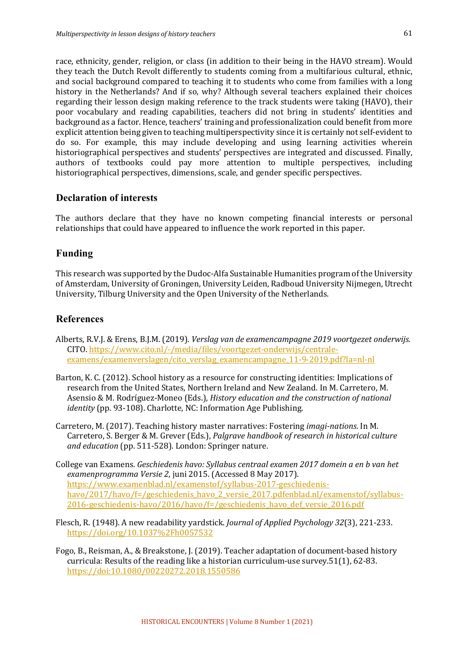race, ethnicity, gender, religion, or class (in addition to their being in the HAVO stream). Would they teach the Dutch Revolt differently to students coming from a multifarious cultural, ethnic, and social background compared to teaching it to students who come from families with a long history in the Netherlands? And if so, why? Although several teachers explained their choices regarding their lesson design making reference to the track students were taking (HAVO), their poor vocabulary and reading capabilities, teachers did not bring in students' identities and background as a factor. Hence, teachers' training and professionalization could benefit from more explicit attention being given to teaching multiperspectivity since it is certainly not self-evident to do so. For example, this may include developing and using learning activities wherein historiographical perspectives and students' perspectives are integrated and discussed. Finally, authors of textbooks could pay more attention to multiple perspectives, including historiographical perspectives, dimensions, scale, and gender specific perspectives.

## **Declaration of interests**

The authors declare that they have no known competing financial interests or personal relationships that could have appeared to influence the work reported in this paper.

## **Funding**

This research was supported by the Dudoc-Alfa Sustainable Humanities program of the University of Amsterdam, University of Groningen, University Leiden, Radboud University Nijmegen, Utrecht University, Tilburg University and the Open University of the Netherlands.

## **References**

- Alberts, R.V.J. & Erens, B.J.M. (2019). *Verslag van de examencampagne 2019 voortgezet onderwijs.* CITO. https://www.cito.nl/-/media/files/voortgezet-onderwijs/centraleexamens/examenverslagen/cito\_verslag\_examencampagne\_11-9-2019.pdf?la=nl-nl
- Barton, K. C. (2012). School history as a resource for constructing identities: Implications of research from the United States, Northern Ireland and New Zealand. In M. Carretero, M. Asensio & M. Rodríguez-Moneo (Eds.), *History education and the construction of national identity* (pp. 93-108). Charlotte, NC: Information Age Publishing.
- Carretero, M. (2017). Teaching history master narratives: Fostering *imagi-nations*. In M. Carretero, S. Berger & M. Grever (Eds.), *Palgrave handbook of research in historical culture and education* (pp. 511-528). London: Springer nature.
- College van Examens. *Geschiedenis havo: Syllabus centraal examen 2017 domein a en b van het* examenprogramma Versie 2, juni 2015. (Accessed 8 May 2017). https://www.examenblad.nl/examenstof/syllabus-2017-geschiedenishavo/2017/havo/f=/geschiedenis havo 2 versie 2017.pdfenblad.nl/examenstof/syllabus-2016-geschiedenis-havo/2016/havo/f=/geschiedenis\_havo\_def\_versie\_2016.pdf
- Flesch, R. (1948). A new readability yardstick. *Journal of Applied Psychology 32*(3), 221-233. https://doi.org/10.1037%2Fh0057532
- Fogo, B., Reisman, A., & Breakstone, J. (2019). Teacher adaptation of document-based history curricula: Results of the reading like a historian curriculum-use survey. $51(1)$ , 62-83. https://doi:10.1080/00220272.2018.1550586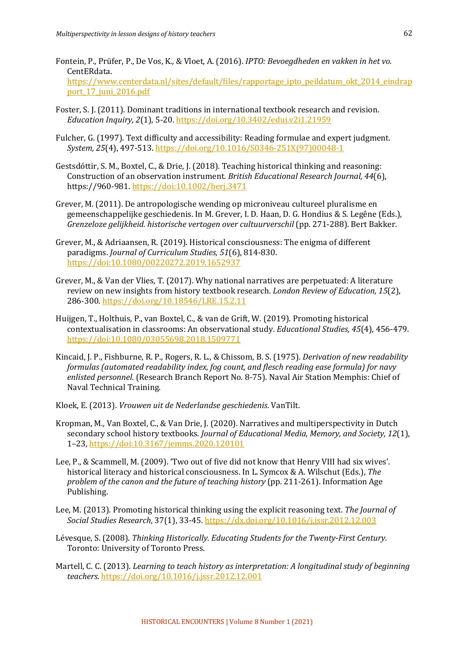- Fontein, P., Prüfer, P., De Vos, K., & Vloet, A. (2016). *IPTO: Bevoegdheden en vakken in het vo.* CentERdata. https://www.centerdata.nl/sites/default/files/rapportage\_ipto\_peildatum\_okt\_2014\_eindrap port\_17\_juni\_2016.pdf
- Foster, S. I. (2011). Dominant traditions in international textbook research and revision. *Education Inquiry, 2*(1), 5-20. https://doi.org/10.3402/edui.v2i1.21959
- Fulcher, G. (1997). Text difficulty and accessibility: Reading formulae and expert judgment. *System, 25*(4), 497-513. https://doi.org/10.1016/S0346-251X(97)00048-1
- Gestsdóttir, S. M., Boxtel, C., & Drie, J. (2018). Teaching historical thinking and reasoning: Construction of an observation instrument. *British Educational Research Journal, 44*(6), https://960-981. https://doi:10.1002/berj.3471
- Grever, M. (2011). De antropologische wending op microniveau cultureel pluralisme en gemeenschappelijke geschiedenis. In M. Grever, I. D. Haan, D. G. Hondius & S. Legêne (Eds.), *Grenzeloze gelijkheid. historische vertogen over cultuurverschil* (pp. 271-288). Bert Bakker.
- Grever, M., & Adriaansen, R. (2019). Historical consciousness: The enigma of different paradigms. *Journal of Curriculum Studies,* 51(6), 814-830. https://doi:10.1080/00220272.2019.1652937
- Grever, M., & Van der Vlies, T. (2017). Why national narratives are perpetuated: A literature review on new insights from history textbook research. *London Review of Education, 15*(2), 286-300. https://doi.org/10.18546/LRE.15.2.11
- Huijgen, T., Holthuis, P., van Boxtel, C., & van de Grift, W. (2019). Promoting historical contextualisation in classrooms: An observational study. *Educational Studies, 45*(4), 456-479. https://doi:10.1080/03055698.2018.1509771
- Kincaid, I. P., Fishburne, R. P., Rogers, R. L., & Chissom, B. S. (1975). *Derivation of new readability formulas* (automated readability index, fog count, and flesch reading ease formula) for navy enlisted personnel. (Research Branch Report No. 8-75). Naval Air Station Memphis: Chief of Naval Technical Training.
- Kloek, E. (2013). *Vrouwen uit de Nederlandse geschiedenis*. VanTilt.
- Kropman, M., Van Boxtel, C., & Van Drie, J. (2020). Narratives and multiperspectivity in Dutch secondary school history textbooks. *Journal of Educational Media, Memory, and Society, 12*(1), 1–23, https://doi:10.3167/jemms.2020.120101
- Lee, P., & Scammell, M. (2009). 'Two out of five did not know that Henry VIII had six wives'. historical literacy and historical consciousness. In L. Symcox & A. Wilschut (Eds.), *The* problem of the canon and the future of teaching history (pp. 211-261). Information Age Publishing.
- Lee, M. (2013). Promoting historical thinking using the explicit reasoning text. The *Journal of Social Studies Research*, 37(1), 33-45. https://dx.doi.org/10.1016/j.jssr.2012.12.003
- Lévesque, S. (2008). *Thinking Historically. Educating Students for the Twenty-First Century.* Toronto: University of Toronto Press.
- Martell, C. C. (2013). *Learning to teach history as interpretation: A longitudinal study of beginning teachers*. https://doi.org/10.1016/j.jssr.2012.12.001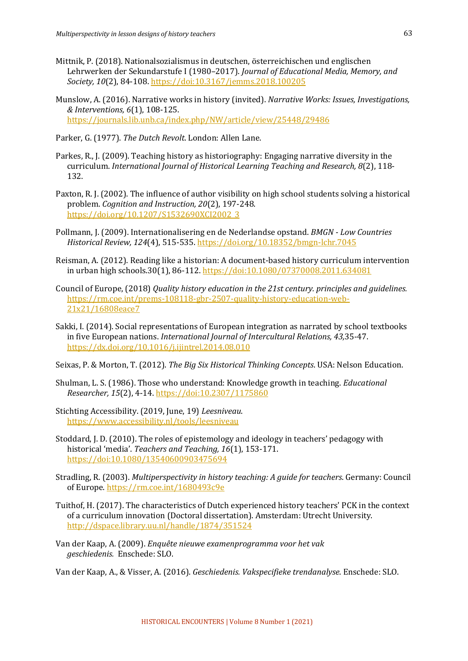- Mittnik, P. (2018). Nationalsozialismus in deutschen, österreichischen und englischen Lehrwerken der Sekundarstufe I (1980–2017). *Journal of Educational Media, Memory, and* Society, 10(2), 84-108. https://doi:10.3167/jemms.2018.100205
- Munslow, A. (2016). Narrative works in history (invited). *Narrative Works: Issues, Investigations, & Interventions, 6*(1), 108-125. https://journals.lib.unb.ca/index.php/NW/article/view/25448/29486
- Parker, G. (1977). *The Dutch Revolt*. London: Allen Lane.
- Parkes, R., J. (2009). Teaching history as historiography: Engaging narrative diversity in the curriculum. *International Journal of Historical Learning Teaching and Research, 8(2), 118-*132.
- Paxton, R. J. (2002). The influence of author visibility on high school students solving a historical problem. *Cognition and Instruction, 20*(2), 197-248. https://doi.org/10.1207/S1532690XCI2002\_3
- Pollmann, J. (2009). Internationalisering en de Nederlandse opstand. *BMGN Low Countries Historical Review, 124*(4), 515-535. https://doi.org/10.18352/bmgn-lchr.7045
- Reisman, A. (2012). Reading like a historian: A document-based history curriculum intervention in urban high schools.30(1), 86-112. https://doi:10.1080/07370008.2011.634081
- Council of Europe, (2018) *Quality history education in the 21st century. principles and quidelines.* https://rm.coe.int/prems-108118-gbr-2507-quality-history-education-web-21x21/16808eace7
- Sakki, I. (2014). Social representations of European integration as narrated by school textbooks in five European nations. *International Journal of Intercultural Relations, 43,35-47.* https://dx.doi.org/10.1016/j.ijintrel.2014.08.010
- Seixas, P. & Morton, T. (2012). *The Big Six Historical Thinking Concepts*. USA: Nelson Education.
- Shulman, L. S. (1986). Those who understand: Knowledge growth in teaching. *Educational Researcher, 15*(2), 4-14. https://doi:10.2307/1175860
- Stichting Accessibility. (2019, June, 19) *Leesniveau*. https://www.accessibility.nl/tools/leesniveau
- Stoddard, J. D. (2010). The roles of epistemology and ideology in teachers' pedagogy with historical 'media'. *Teachers and Teaching, 16*(1), 153-171. https://doi:10.1080/13540600903475694
- Stradling, R. (2003). *Multiperspectivity in history teaching: A guide for teachers*. Germany: Council of Europe. https://rm.coe.int/1680493c9e
- Tuithof, H. (2017). The characteristics of Dutch experienced history teachers' PCK in the context of a curriculum innovation (Doctoral dissertation). Amsterdam: Utrecht University. http://dspace.library.uu.nl/handle/1874/351524
- Van der Kaap, A. (2009). *Enquête nieuwe examenprogramma voor het vak geschiedenis.* Enschede: SLO.
- Van der Kaap, A., & Visser, A. (2016). *Geschiedenis. Vakspecifieke trendanalyse*. Enschede: SLO.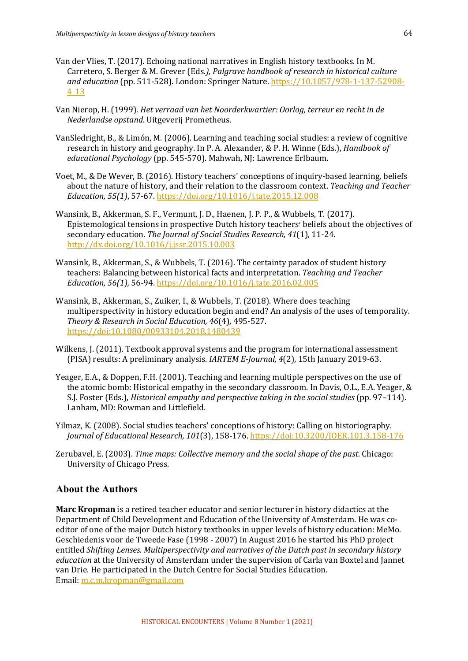- Van der Vlies, T. (2017). Echoing national narratives in English history textbooks. In M. Carretero, S. Berger & M. Grever (Eds.), *Palgrave handbook of research in historical culture* and education (pp. 511-528). London: Springer Nature. https://10.1057/978-1-137-52908-4\_13
- Van Nierop, H. (1999). *Het verraad van het Noorderkwartier: Oorlog, terreur en recht in de Nederlandse opstand*. Uitgeverij Prometheus.
- VanSledright, B., & Limón, M. (2006). Learning and teaching social studies: a review of cognitive research in history and geography. In P. A. Alexander, & P. H. Winne (Eds.), *Handbook of educational Psychology* (pp. 545-570). Mahwah, NJ: Lawrence Erlbaum.
- Voet, M., & De Wever, B. (2016). History teachers' conceptions of inquiry-based learning, beliefs about the nature of history, and their relation to the classroom context. *Teaching and Teacher Education, 55(1)*, 57-67. https://doi.org/10.1016/j.tate.2015.12.008
- Wansink, B., Akkerman, S. F., Vermunt, J. D., Haenen, J. P. P., & Wubbels, T. (2017). Epistemological tensions in prospective Dutch history teachers' beliefs about the objectives of secondary education. *The Journal of Social Studies Research, 41*(1), 11-24. http://dx.doi.org/10.1016/j.jssr.2015.10.003
- Wansink, B., Akkerman, S., & Wubbels, T. (2016). The certainty paradox of student history teachers: Balancing between historical facts and interpretation. *Teaching and Teacher Education, 56(1),* 56-94. https://doi.org/10.1016/j.tate.2016.02.005
- Wansink, B., Akkerman, S., Zuiker, I., & Wubbels, T. (2018). Where does teaching multiperspectivity in history education begin and end? An analysis of the uses of temporality. *Theory & Research in Social Education, 46*(4), 495-527. https://doi:10.1080/00933104.2018.1480439
- Wilkens, J. (2011). Textbook approval systems and the program for international assessment (PISA) results: A preliminary analysis. *IARTEM E-Journal, 4*(2), 15th January 2019-63.
- Yeager, E.A., & Doppen, F.H. (2001). Teaching and learning multiple perspectives on the use of the atomic bomb: Historical empathy in the secondary classroom. In Davis, O.L., E.A. Yeager,  $\&$ S.J. Foster (Eds.), *Historical empathy and perspective taking in the social studies* (pp. 97–114). Lanham, MD: Rowman and Littlefield.
- Yilmaz, K. (2008). Social studies teachers' conceptions of history: Calling on historiography. *Journal of Educational Research, 101*(3), 158-176. https://doi:10.3200/JOER.101.3.158-176
- Zerubavel, E. (2003). *Time maps: Collective memory and the social shape of the past.* Chicago: University of Chicago Press.

## **About the Authors**

**Marc Kropman** is a retired teacher educator and senior lecturer in history didactics at the Department of Child Development and Education of the University of Amsterdam. He was coeditor of one of the major Dutch history textbooks in upper levels of history education: MeMo. Geschiedenis voor de Tweede Fase (1998 - 2007) In August 2016 he started his PhD project entitled *Shifting Lenses. Multiperspectivity and narratives of the Dutch past in secondary history education* at the University of Amsterdam under the supervision of Carla van Boxtel and Jannet van Drie. He participated in the Dutch Centre for Social Studies Education. Email: m.c.m.kropman@gmail.com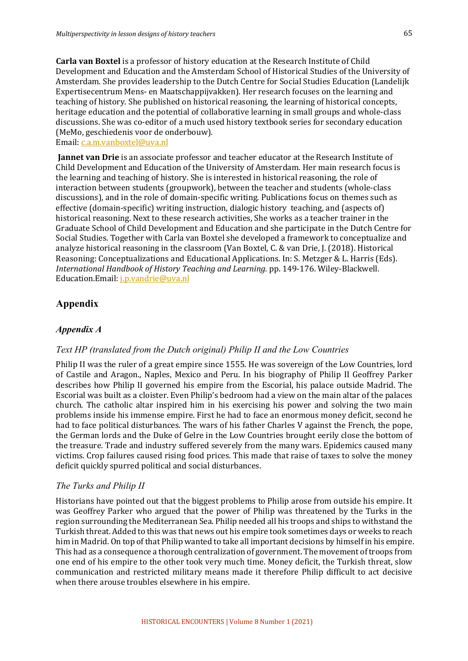**Carla van Boxtel** is a professor of history education at the Research Institute of Child Development and Education and the Amsterdam School of Historical Studies of the University of Amsterdam. She provides leadership to the Dutch Centre for Social Studies Education (Landelijk Expertisecentrum Mens- en Maatschappijvakken). Her research focuses on the learning and teaching of history. She published on historical reasoning, the learning of historical concepts, heritage education and the potential of collaborative learning in small groups and whole-class discussions. She was co-editor of a much used history textbook series for secondary education (MeMo, geschiedenis voor de onderbouw).

Email: c.a.m.vanboxtel@uva.nl

**Jannet van Drie** is an associate professor and teacher educator at the Research Institute of Child Development and Education of the University of Amsterdam. Her main research focus is the learning and teaching of history. She is interested in historical reasoning, the role of interaction between students (groupwork), between the teacher and students (whole-class discussions), and in the role of domain-specific writing. Publications focus on themes such as effective  $\alpha$  (domain-specific) writing instruction, dialogic history teaching, and  $\alpha$  (aspects of) historical reasoning. Next to these research activities, She works as a teacher trainer in the Graduate School of Child Development and Education and she participate in the Dutch Centre for Social Studies. Together with Carla van Boxtel she developed a framework to conceptualize and analyze historical reasoning in the classroom (Van Boxtel, C. & van Drie, J. (2018). Historical Reasoning: Conceptualizations and Educational Applications. In: S. Metzger & L. Harris (Eds). *International Handbook of History Teaching and Learning.* pp. 149-176. Wiley-Blackwell. Education.Email: *j.p.vandrie@uva.nl* 

## **Appendix**

## *Appendix A*

## *Text HP (translated from the Dutch original) Philip II and the Low Countries*

Philip II was the ruler of a great empire since 1555. He was sovereign of the Low Countries, lord of Castile and Aragon., Naples, Mexico and Peru. In his biography of Philip II Geoffrey Parker describes how Philip II governed his empire from the Escorial, his palace outside Madrid. The Escorial was built as a cloister. Even Philip's bedroom had a view on the main altar of the palaces church. The catholic altar inspired him in his exercising his power and solving the two main problems inside his immense empire. First he had to face an enormous money deficit, second he had to face political disturbances. The wars of his father Charles V against the French, the pope, the German lords and the Duke of Gelre in the Low Countries brought eerily close the bottom of the treasure. Trade and industry suffered severely from the many wars. Epidemics caused many victims. Crop failures caused rising food prices. This made that raise of taxes to solve the money deficit quickly spurred political and social disturbances.

## *The Turks and Philip II*

Historians have pointed out that the biggest problems to Philip arose from outside his empire. It was Geoffrey Parker who argued that the power of Philip was threatened by the Turks in the region surrounding the Mediterranean Sea. Philip needed all his troops and ships to withstand the Turkish threat. Added to this was that news out his empire took sometimes days or weeks to reach him in Madrid. On top of that Philip wanted to take all important decisions by himself in his empire. This had as a consequence a thorough centralization of government. The movement of troops from one end of his empire to the other took very much time. Money deficit, the Turkish threat, slow communication and restricted military means made it therefore Philip difficult to act decisive when there arouse troubles elsewhere in his empire.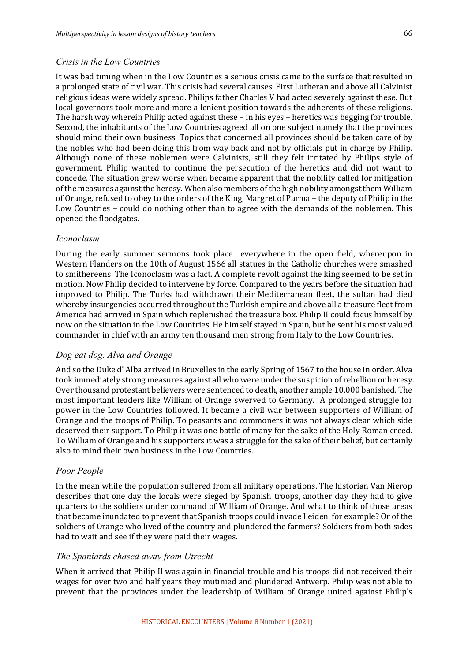### *Crisis in the Low Countries*

It was bad timing when in the Low Countries a serious crisis came to the surface that resulted in a prolonged state of civil war. This crisis had several causes. First Lutheran and above all Calvinist religious ideas were widely spread. Philips father Charles V had acted severely against these. But local governors took more and more a lenient position towards the adherents of these religions. The harsh way wherein Philip acted against these – in his eyes – heretics was begging for trouble. Second, the inhabitants of the Low Countries agreed all on one subject namely that the provinces should mind their own business. Topics that concerned all provinces should be taken care of by the nobles who had been doing this from way back and not by officials put in charge by Philip. Although none of these noblemen were Calvinists, still they felt irritated by Philips style of government. Philip wanted to continue the persecution of the heretics and did not want to concede. The situation grew worse when became apparent that the nobility called for mitigation of the measures against the heresy. When also members of the high nobility amongst them William of Orange, refused to obey to the orders of the King, Margret of Parma – the deputy of Philip in the Low Countries - could do nothing other than to agree with the demands of the noblemen. This opened the floodgates.

## *Iconoclasm*

During the early summer sermons took place everywhere in the open field, whereupon in Western Flanders on the 10th of August 1566 all statues in the Catholic churches were smashed to smithereens. The Iconoclasm was a fact. A complete revolt against the king seemed to be set in motion. Now Philip decided to intervene by force. Compared to the years before the situation had improved to Philip. The Turks had withdrawn their Mediterranean fleet, the sultan had died whereby insurgencies occurred throughout the Turkish empire and above all a treasure fleet from America had arrived in Spain which replenished the treasure box. Philip II could focus himself by now on the situation in the Low Countries. He himself stayed in Spain, but he sent his most valued commander in chief with an army ten thousand men strong from Italy to the Low Countries.

## *Dog eat dog. Alva and Orange*

And so the Duke d'Alba arrived in Bruxelles in the early Spring of 1567 to the house in order. Alva took immediately strong measures against all who were under the suspicion of rebellion or heresy. Over thousand protestant believers were sentenced to death, another ample 10.000 banished. The most important leaders like William of Orange swerved to Germany. A prolonged struggle for power in the Low Countries followed. It became a civil war between supporters of William of Orange and the troops of Philip. To peasants and commoners it was not always clear which side deserved their support. To Philip it was one battle of many for the sake of the Holy Roman creed. To William of Orange and his supporters it was a struggle for the sake of their belief, but certainly also to mind their own business in the Low Countries.

## *Poor People*

In the mean while the population suffered from all military operations. The historian Van Nierop describes that one day the locals were sieged by Spanish troops, another day they had to give quarters to the soldiers under command of William of Orange. And what to think of those areas that became inundated to prevent that Spanish troops could invade Leiden, for example? Or of the soldiers of Orange who lived of the country and plundered the farmers? Soldiers from both sides had to wait and see if they were paid their wages.

## *The Spaniards chased away from Utrecht*

When it arrived that Philip II was again in financial trouble and his troops did not received their wages for over two and half vears they mutinied and plundered Antwerp. Philip was not able to prevent that the provinces under the leadership of William of Orange united against Philip's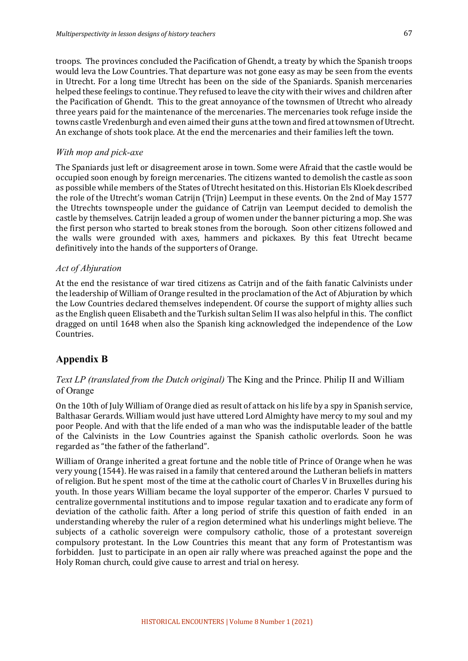troops. The provinces concluded the Pacification of Ghendt, a treaty by which the Spanish troops would leva the Low Countries. That departure was not gone easy as may be seen from the events in Utrecht. For a long time Utrecht has been on the side of the Spaniards. Spanish mercenaries helped these feelings to continue. They refused to leave the city with their wives and children after the Pacification of Ghendt. This to the great annoyance of the townsmen of Utrecht who already three years paid for the maintenance of the mercenaries. The mercenaries took refuge inside the towns castle Vredenburgh and even aimed their guns at the town and fired at townsmen of Utrecht. An exchange of shots took place. At the end the mercenaries and their families left the town.

## *With mop and pick-axe*

The Spaniards just left or disagreement arose in town. Some were Afraid that the castle would be occupied soon enough by foreign mercenaries. The citizens wanted to demolish the castle as soon as possible while members of the States of Utrecht hesitated on this. Historian Els Kloek described the role of the Utrecht's woman Catrijn (Trijn) Leemput in these events. On the 2nd of May 1577 the Utrechts townspeople under the guidance of Catrijn van Leemput decided to demolish the castle by themselves. Catrijn leaded a group of women under the banner picturing a mop. She was the first person who started to break stones from the borough. Soon other citizens followed and the walls were grounded with axes, hammers and pickaxes. By this feat Utrecht became definitively into the hands of the supporters of Orange.

### *Act of Abjuration*

At the end the resistance of war tired citizens as Catrijn and of the faith fanatic Calvinists under the leadership of William of Orange resulted in the proclamation of the Act of Abjuration by which the Low Countries declared themselves independent. Of course the support of mighty allies such as the English queen Elisabeth and the Turkish sultan Selim II was also helpful in this. The conflict dragged on until 1648 when also the Spanish king acknowledged the independence of the Low Countries.

## **Appendix B**

## *Text LP (translated from the Dutch original)* The King and the Prince. Philip II and William of Orange

On the 10th of July William of Orange died as result of attack on his life by a spy in Spanish service, Balthasar Gerards. William would just have uttered Lord Almighty have mercy to my soul and my poor People. And with that the life ended of a man who was the indisputable leader of the battle of the Calvinists in the Low Countries against the Spanish catholic overlords. Soon he was regarded as "the father of the fatherland".

William of Orange inherited a great fortune and the noble title of Prince of Orange when he was very young (1544). He was raised in a family that centered around the Lutheran beliefs in matters of religion. But he spent most of the time at the catholic court of Charles V in Bruxelles during his youth. In those years William became the loyal supporter of the emperor. Charles V pursued to centralize governmental institutions and to impose regular taxation and to eradicate any form of deviation of the catholic faith. After a long period of strife this question of faith ended in an understanding whereby the ruler of a region determined what his underlings might believe. The subjects of a catholic sovereign were compulsory catholic, those of a protestant sovereign compulsory protestant. In the Low Countries this meant that any form of Protestantism was forbidden. Just to participate in an open air rally where was preached against the pope and the Holy Roman church, could give cause to arrest and trial on heresy.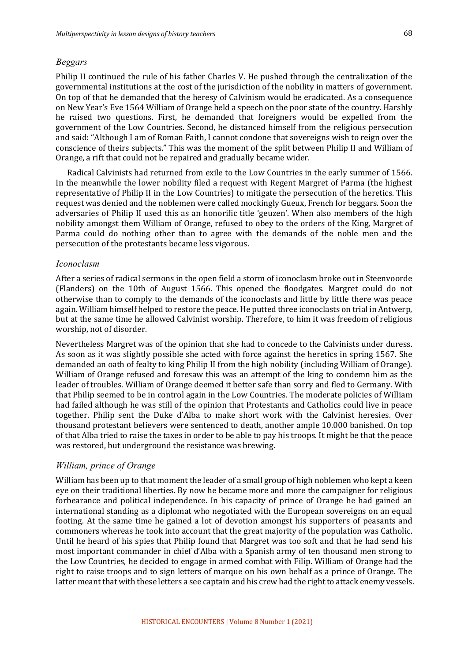## *Beggars*

Philip II continued the rule of his father Charles V. He pushed through the centralization of the governmental institutions at the cost of the jurisdiction of the nobility in matters of government. On top of that he demanded that the heresy of Calvinism would be eradicated. As a consequence on New Year's Eve 1564 William of Orange held a speech on the poor state of the country. Harshly he raised two questions. First, he demanded that foreigners would be expelled from the government of the Low Countries. Second, he distanced himself from the religious persecution and said: "Although I am of Roman Faith, I cannot condone that sovereigns wish to reign over the conscience of theirs subjects." This was the moment of the split between Philip II and William of Orange, a rift that could not be repaired and gradually became wider.

Radical Calvinists had returned from exile to the Low Countries in the early summer of 1566. In the meanwhile the lower nobility filed a request with Regent Margret of Parma (the highest representative of Philip II in the Low Countries) to mitigate the persecution of the heretics. This request was denied and the noblemen were called mockingly Gueux, French for beggars. Soon the adversaries of Philip II used this as an honorific title 'geuzen'. When also members of the high nobility amongst them William of Orange, refused to obey to the orders of the King, Margret of Parma could do nothing other than to agree with the demands of the noble men and the persecution of the protestants became less vigorous.

#### *Iconoclasm*

After a series of radical sermons in the open field a storm of iconoclasm broke out in Steenvoorde (Flanders) on the 10th of August 1566. This opened the floodgates. Margret could do not otherwise than to comply to the demands of the iconoclasts and little by little there was peace again. William himself helped to restore the peace. He putted three iconoclasts on trial in Antwerp, but at the same time he allowed Calvinist worship. Therefore, to him it was freedom of religious worship, not of disorder.

Nevertheless Margret was of the opinion that she had to concede to the Calvinists under duress. As soon as it was slightly possible she acted with force against the heretics in spring 1567. She demanded an oath of fealty to king Philip II from the high nobility (including William of Orange). William of Orange refused and foresaw this was an attempt of the king to condemn him as the leader of troubles. William of Orange deemed it better safe than sorry and fled to Germany. With that Philip seemed to be in control again in the Low Countries. The moderate policies of William had failed although he was still of the opinion that Protestants and Catholics could live in peace together. Philip sent the Duke d'Alba to make short work with the Calvinist heresies. Over thousand protestant believers were sentenced to death, another ample 10.000 banished. On top of that Alba tried to raise the taxes in order to be able to pay his troops. It might be that the peace was restored, but underground the resistance was brewing.

## *William, prince of Orange*

William has been up to that moment the leader of a small group of high noblemen who kept a keen eye on their traditional liberties. By now he became more and more the campaigner for religious forbearance and political independence. In his capacity of prince of Orange he had gained an international standing as a diplomat who negotiated with the European sovereigns on an equal footing. At the same time he gained a lot of devotion amongst his supporters of peasants and commoners whereas he took into account that the great majority of the population was Catholic. Until he heard of his spies that Philip found that Margret was too soft and that he had send his most important commander in chief d'Alba with a Spanish army of ten thousand men strong to the Low Countries, he decided to engage in armed combat with Filip. William of Orange had the right to raise troops and to sign letters of marque on his own behalf as a prince of Orange. The latter meant that with these letters a see captain and his crew had the right to attack enemy vessels.